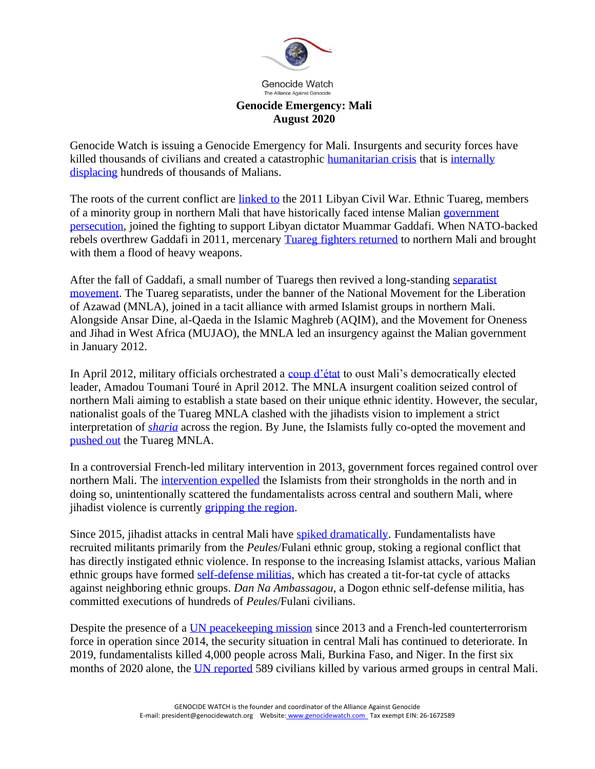

## **Genocide Emergency: Mali August 2020**

Genocide Watch is issuing a Genocide Emergency for Mali. Insurgents and security forces have killed thousands of civilians and created a catastrophic [humanitarian crisis](https://www.refugeesinternational.org/reports/2019/12/10/malis-humanitarian-crisis-overmilitarized-and-overshadowed) that is internally [displacing](https://data2.unhcr.org/en/country/mli) hundreds of thousands of Malians.

The roots of the current conflict are [linked to](http://www.responsibilitytoprotect.org/index.php/crises/crisis-in-mali) the 2011 Libyan Civil War. Ethnic Tuareg, members of a minority group in northern Mali that have historically faced intense Malian [government](https://minorityrights.org/minorities/tuareg/)  [persecution,](https://minorityrights.org/minorities/tuareg/) joined the fighting to support Libyan dictator Muammar Gaddafi. When NATO-backed rebels overthrew Gaddafi in 2011, mercenary [Tuareg fighters returned](https://www.bbc.com/news/world-africa-17582909) to northern Mali and brought with them a flood of heavy weapons.

After the fall of Gaddafi, a small number of Tuaregs then revived a long-standing [separatist](https://sites.clas.ufl.edu/sahelresearch/files/Ba_Tuareg-Nationalism_final.pdf)  [movement.](https://sites.clas.ufl.edu/sahelresearch/files/Ba_Tuareg-Nationalism_final.pdf) The Tuareg separatists, under the banner of the National Movement for the Liberation of Azawad (MNLA), joined in a tacit alliance with armed Islamist groups in northern Mali. Alongside Ansar Dine, al-Qaeda in the Islamic Maghreb (AQIM), and the Movement for Oneness and Jihad in West Africa (MUJAO), the MNLA led an insurgency against the Malian government in January 2012.

In April 2012, military officials orchestrated a [coup d'état](https://www.nytimes.com/2012/03/23/world/africa/mali-coup-france-calls-for-elections.html) to oust Mali's democratically elected leader, Amadou Toumani Touré in April 2012. The MNLA insurgent coalition seized control of northern Mali aiming to establish a state based on their unique ethnic identity. However, the secular, nationalist goals of the Tuareg MNLA clashed with the jihadists vision to implement a strict interpretation of *[sharia](https://www.dw.com/en/timeline-of-the-crisis-in-mali/a-18453016)* across the region. By June, the Islamists fully co-opted the movement and [pushed out](https://www.bbc.com/news/world-africa-18610618) the Tuareg MNLA.

In a controversial French-led military intervention in 2013, government forces regained control over northern Mali. The [intervention expelled](https://www.crisisgroup.org/africa/sahel/mali/276-speaking-bad-guys-toward-dialogue-central-malis-jihadists) the Islamists from their strongholds in the north and in doing so, unintentionally scattered the fundamentalists across central and southern Mali, where jihadist violence is currently [gripping the region.](https://www.hrw.org/report/2020/02/11/how-much-more-blood-must-be-spilled/atrocities-against-civilians-central-mali)

Since 2015, jihadist attacks in central Mali have [spiked dramatically.](https://www.ushmm.org/genocide-prevention/blog/report-dangerous-speech-in-central-mali) Fundamentalists have recruited militants primarily from the *Peules*/Fulani ethnic group, stoking a regional conflict that has directly instigated ethnic violence. In response to the increasing Islamist attacks, various Malian ethnic groups have formed [self-defense militias,](https://www.hrw.org/report/2018/12/07/we-used-be-brothers/self-defense-group-abuses-central-mali) which has created a tit-for-tat cycle of attacks against neighboring ethnic groups. *Dan Na Ambassagou*, a Dogon ethnic self-defense militia, has committed executions of hundreds of *Peules*/Fulani civilians.

Despite the presence of a [UN peacekeeping mission](https://www.aljazeera.com/news/2020/06/challenges-set-extend-dangerous-mission-200619163508338.html) since 2013 and a French-led counterterrorism force in operation since 2014, the security situation in central Mali has continued to deteriorate. In 2019, fundamentalists killed 4,000 people across Mali, Burkina Faso, and Niger. In the first six months of 2020 alone, the [UN reported](https://www.ohchr.org/EN/NewsEvents/Pages/DisplayNews.aspx?NewsID=26005&LangID=E) 589 civilians killed by various armed groups in central Mali.